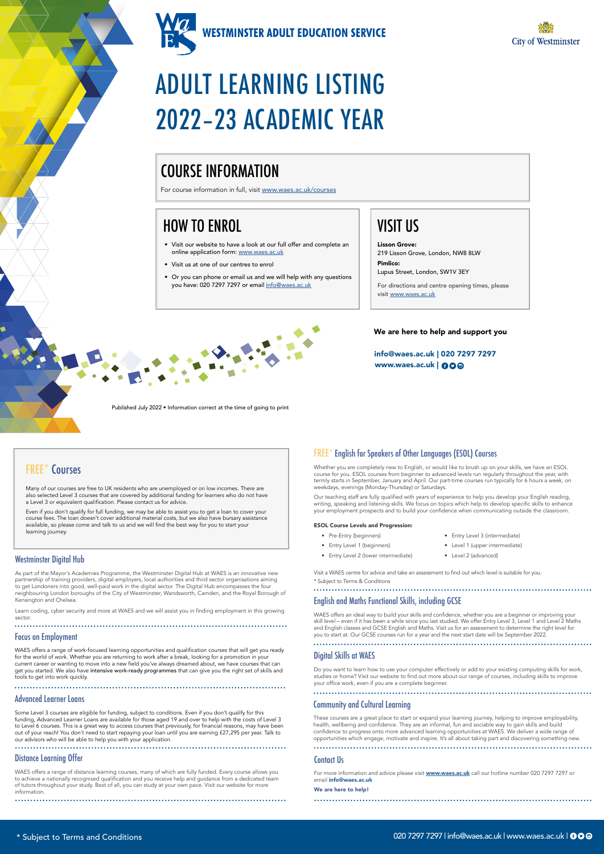

**WESTMINSTER ADULT EDUCATION SERVICE** 



www.waes.ac.uk | 000 info@waes.ac.uk | 020 7297 7297



# ADULT LEARNING LISTING 2022–23 ACADEMIC YEAR

For more information and advice please visit **[www.waes.ac.uk](http://www.waes.ac.uk)** call our hotline number 020 7297 7297 or email info@waes.ac.uk

#### Contact Us

We are here to help!

Whether you are completely new to English, or would like to brush up on your skills, we have an ESOL course for you. ESOL courses from beginner to advanced levels run regularly throughout the year, with termly starts in September, January and April. Our part-time courses run typically for 6 hours a week, on weekdays, evenings (Monday-Thursday) or Saturdays.

Our teaching staff are fully qualified with years of experience to help you develop your English reading, writing, speaking and listening skills. We focus on topics which help to develop specific skills to enhance your employment prospects and to build your confidence when communicating outside the classroom.

#### FREE\* English for Speakers of Other Languages (ESOL) Courses

Visit a WAES centre for advice and take an assessment to find out which level is suitable for you. \* Subject to Terms & Conditions

#### ESOL Course Levels and Progression:

## FREE\* Courses

Many of our courses are free to UK residents who are unemployed or on low incomes. There are also selected Level 3 courses that are covered by additional funding for learners who do not have a Level 3 or equivalent qualification. Please contact us for advice.

Even if you don't qualify for full funding, we may be able to assist you to get a loan to cover your course fees. The loan doesn't cover additional material costs, but we also have bursary assistance available, so please come and talk to us and we will find the best way for you to start your learning journey.

#### Westminster Digital Hub **Entry Level 2 (lower intermediate) •** Entry Level 2 (lower intermediate)

### English and Maths Functional Skills, including GCSE

WAES offers an ideal way to build your skills and confidence, whether you are a beginner or improving your skill level – even if it has been a while since you last studied. We offer Entry Level 3, Level 1 and Level 2 Maths and English classes and GCSE English and Maths. Visit us for an assessment to determine the right level for you to start at. Our GCSE courses run for a year and the next start date will be September 2022.

#### Distance Learning Offer

- Pre-Entry (beginners) • Entry Level 1 (beginners)
- Entry Level 3 (intermediate)
- 
- Level 1 (upper intermediate)
- Level 2 (advanced)

WAES offers a range of distance learning courses, many of which are fully funded. Every course allows you to achieve a nationally recognised qualification and you receive help and guidance from a dedicated team of tutors throughout your study. Best of all, you can study at your own pace. Visit our website for more information.

#### Digital Skills at WAES

- Visit our website to have a look at our full offer and complete an online application form: [www.waes.ac.uk](http://www.waes.ac.uk)
- Visit us at one of our centres to enrol
- Or you can phone or email us and we will help with any questions you have: 020 7297 7297 or email [info@waes.ac.uk](mailto:info%40waes.ac.uk?subject=)

Do you want to learn how to use your computer effectively or add to your existing computing skills for work, studies or home? Visit our website to find out more about our range of courses, including skills to improve your office work, even if you are a complete beginner.

As part of the Mayor's Academies Programme, the Westminster Digital Hub at WAES is an innovative new partnership of training providers, digital employers, local authorities and third sector organisations aiming to get Londoners into good, well-paid work in the digital sector. The Digital Hub encompasses the four neighbouring London boroughs of the City of Westminster, Wandsworth, Camden, and the Royal Borough of Kensington and Chelsea.

Learn coding, cyber security and more at WAES and we will assist you in finding employment in this growing sector.

#### Focus on Employment

WAES offers a range of work-focused learning opportunities and qualification courses that will get you ready for the world of work. Whether you are returning to work after a break, looking for a promotion in your current career or wanting to move into a new field you've always dreamed about, we have courses that can get you started. We also have intensive work-ready programmes that can give you the right set of skills and tools to get into work quickly.

#### Advanced Learner Loans

Some Level 3 courses are eligible for funding, subject to conditions. Even if you don't qualify for this funding, Advanced Learner Loans are available for those aged 19 and over to help with the costs of Level 3 to Level 6 courses. This is a great way to access courses that previously, for financial reasons, may have been out of your reach! You don't need to start repaying your loan until you are earning £27,295 per year. Talk to our advisors who will be able to help you with your application.

#### Community and Cultural Learning

These courses are a great place to start or expand your learning journey, helping to improve employability, health, wellbeing and confidence. They are an informal, fun and sociable way to gain skills and build confidence to progress onto more advanced learning opportunities at WAES. We deliver a wide range of opportunities which engage, motivate and inspire. It's all about taking part and discovering something new.

We are here to help and support you

Published July 2022 • Information correct at the time of going to print

## HOW TO ENROL

## VISIT US

Lisson Grove: 219 Lisson Grove, London, NW8 8LW Pimlico:

Lupus Street, London, SW1V 3EY

For directions and centre opening times, please visit [www.waes.ac.uk](http://www.waes.ac.uk)

## COURSE INFORMATION

For course information in full, visit [www.waes.ac.uk/courses](http://www.waes.ac.uk/courses)